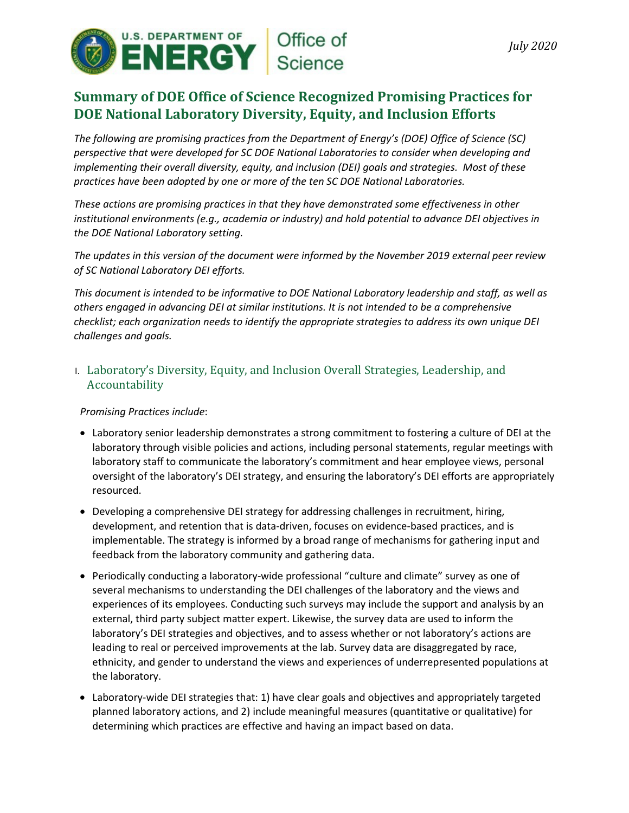

# **Summary of DOE Office of Science Recognized Promising Practices for DOE National Laboratory Diversity, Equity, and Inclusion Efforts**

*The following are promising practices from the Department of Energy's (DOE) Office of Science (SC) perspective that were developed for SC DOE National Laboratories to consider when developing and implementing their overall diversity, equity, and inclusion (DEI) goals and strategies. Most of these practices have been adopted by one or more of the ten SC DOE National Laboratories.*

*These actions are promising practices in that they have demonstrated some effectiveness in other institutional environments (e.g., academia or industry) and hold potential to advance DEI objectives in the DOE National Laboratory setting.*

*The updates in this version of the document were informed by the November 2019 external peer review of SC National Laboratory DEI efforts.* 

*This document is intended to be informative to DOE National Laboratory leadership and staff, as well as others engaged in advancing DEI at similar institutions. It is not intended to be a comprehensive checklist; each organization needs to identify the appropriate strategies to address its own unique DEI challenges and goals.* 

I. Laboratory's Diversity, Equity, and Inclusion Overall Strategies, Leadership, and Accountability

## *Promising Practices include*:

- Laboratory senior leadership demonstrates a strong commitment to fostering a culture of DEI at the laboratory through visible policies and actions, including personal statements, regular meetings with laboratory staff to communicate the laboratory's commitment and hear employee views, personal oversight of the laboratory's DEI strategy, and ensuring the laboratory's DEI efforts are appropriately resourced.
- Developing a comprehensive DEI strategy for addressing challenges in recruitment, hiring, development, and retention that is data-driven, focuses on evidence-based practices, and is implementable. The strategy is informed by a broad range of mechanisms for gathering input and feedback from the laboratory community and gathering data.
- Periodically conducting a laboratory-wide professional "culture and climate" survey as one of several mechanisms to understanding the DEI challenges of the laboratory and the views and experiences of its employees. Conducting such surveys may include the support and analysis by an external, third party subject matter expert. Likewise, the survey data are used to inform the laboratory's DEI strategies and objectives, and to assess whether or not laboratory's actions are leading to real or perceived improvements at the lab. Survey data are disaggregated by race, ethnicity, and gender to understand the views and experiences of underrepresented populations at the laboratory.
- Laboratory-wide DEI strategies that: 1) have clear goals and objectives and appropriately targeted planned laboratory actions, and 2) include meaningful measures (quantitative or qualitative) for determining which practices are effective and having an impact based on data.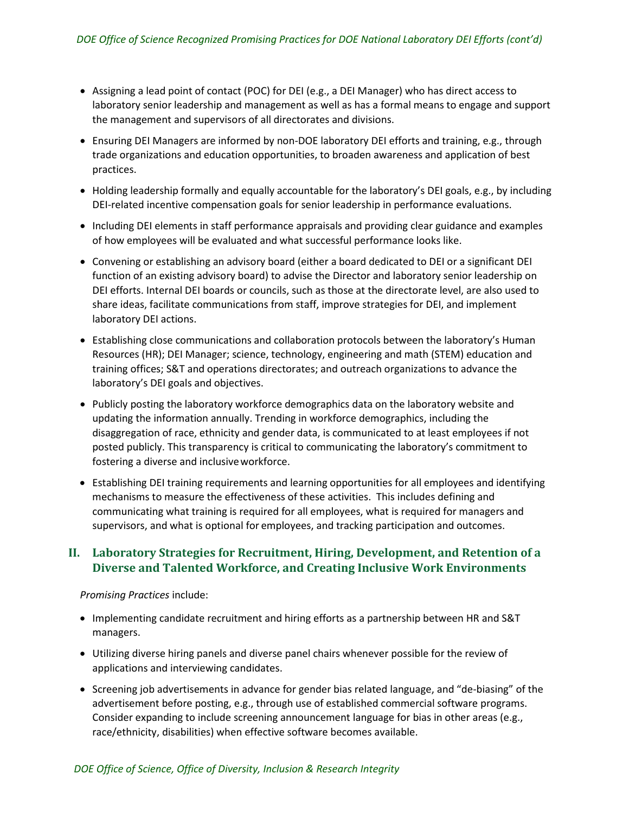- Assigning a lead point of contact (POC) for DEI (e.g., a DEI Manager) who has direct access to laboratory senior leadership and management as well as has a formal means to engage and support the management and supervisors of all directorates and divisions.
- Ensuring DEI Managers are informed by non-DOE laboratory DEI efforts and training, e.g., through trade organizations and education opportunities, to broaden awareness and application of best practices.
- Holding leadership formally and equally accountable for the laboratory's DEI goals, e.g., by including DEI-related incentive compensation goals for senior leadership in performance evaluations.
- Including DEI elements in staff performance appraisals and providing clear guidance and examples of how employees will be evaluated and what successful performance looks like.
- Convening or establishing an advisory board (either a board dedicated to DEI or a significant DEI function of an existing advisory board) to advise the Director and laboratory senior leadership on DEI efforts. Internal DEI boards or councils, such as those at the directorate level, are also used to share ideas, facilitate communications from staff, improve strategies for DEI, and implement laboratory DEI actions.
- Establishing close communications and collaboration protocols between the laboratory's Human Resources (HR); DEI Manager; science, technology, engineering and math (STEM) education and training offices; S&T and operations directorates; and outreach organizations to advance the laboratory's DEI goals and objectives.
- Publicly posting the laboratory workforce demographics data on the laboratory website and updating the information annually. Trending in workforce demographics, including the disaggregation of race, ethnicity and gender data, is communicated to at least employees if not posted publicly. This transparency is critical to communicating the laboratory's commitment to fostering a diverse and inclusiveworkforce.
- Establishing DEI training requirements and learning opportunities for all employees and identifying mechanisms to measure the effectiveness of these activities. This includes defining and communicating what training is required for all employees, what is required for managers and supervisors, and what is optional for employees, and tracking participation and outcomes.

# **II. Laboratory Strategies for Recruitment, Hiring, Development, and Retention of a Diverse and Talented Workforce, and Creating Inclusive Work Environments**

#### *Promising Practices* include:

- Implementing candidate recruitment and hiring efforts as a partnership between HR and S&T managers.
- Utilizing diverse hiring panels and diverse panel chairs whenever possible for the review of applications and interviewing candidates.
- Screening job advertisements in advance for gender bias related language, and "de-biasing" of the advertisement before posting, e.g., through use of established commercial software programs. Consider expanding to include screening announcement language for bias in other areas (e.g., race/ethnicity, disabilities) when effective software becomes available.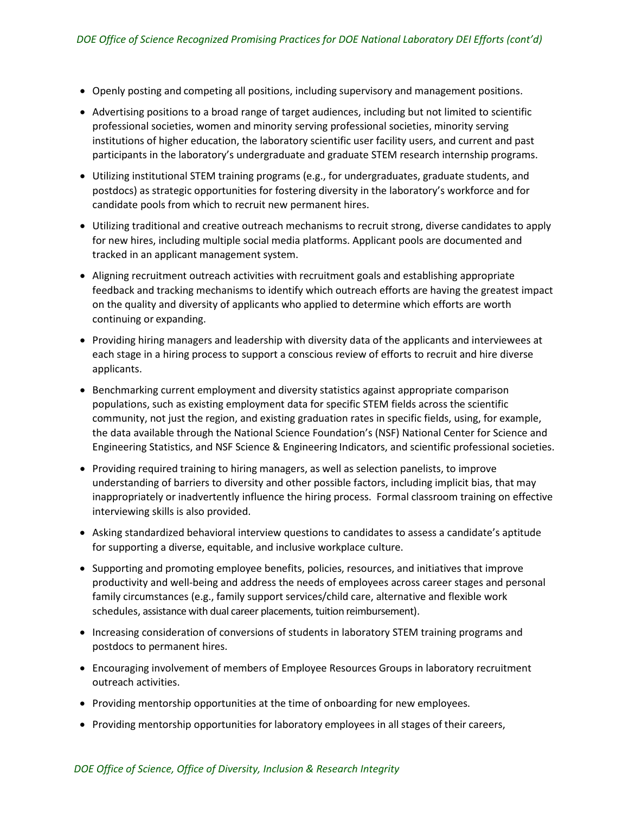- Openly posting and competing all positions, including supervisory and management positions.
- Advertising positions to a broad range of target audiences, including but not limited to scientific professional societies, women and minority serving professional societies, minority serving institutions of higher education, the laboratory scientific user facility users, and current and past participants in the laboratory's undergraduate and graduate STEM research internship programs.
- Utilizing institutional STEM training programs (e.g., for undergraduates, graduate students, and postdocs) as strategic opportunities for fostering diversity in the laboratory's workforce and for candidate pools from which to recruit new permanent hires.
- Utilizing traditional and creative outreach mechanisms to recruit strong, diverse candidates to apply for new hires, including multiple social media platforms. Applicant pools are documented and tracked in an applicant management system.
- Aligning recruitment outreach activities with recruitment goals and establishing appropriate feedback and tracking mechanisms to identify which outreach efforts are having the greatest impact on the quality and diversity of applicants who applied to determine which efforts are worth continuing or expanding.
- Providing hiring managers and leadership with diversity data of the applicants and interviewees at each stage in a hiring process to support a conscious review of efforts to recruit and hire diverse applicants.
- Benchmarking current employment and diversity statistics against appropriate comparison populations, such as existing employment data for specific STEM fields across the scientific community, not just the region, and existing graduation rates in specific fields, using, for example, the data available through the National Science Foundation's (NSF) National Center for Science and Engineering Statistics, and NSF Science & Engineering Indicators, and scientific professional societies.
- Providing required training to hiring managers, as well as selection panelists, to improve understanding of barriers to diversity and other possible factors, including implicit bias, that may inappropriately or inadvertently influence the hiring process. Formal classroom training on effective interviewing skills is also provided.
- Asking standardized behavioral interview questions to candidates to assess a candidate's aptitude for supporting a diverse, equitable, and inclusive workplace culture.
- Supporting and promoting employee benefits, policies, resources, and initiatives that improve productivity and well-being and address the needs of employees across career stages and personal family circumstances (e.g., family support services/child care, alternative and flexible work schedules, assistance with dual career placements, tuition reimbursement).
- Increasing consideration of conversions of students in laboratory STEM training programs and postdocs to permanent hires.
- Encouraging involvement of members of Employee Resources Groups in laboratory recruitment outreach activities.
- Providing mentorship opportunities at the time of onboarding for new employees.
- Providing mentorship opportunities for laboratory employees in all stages of their careers,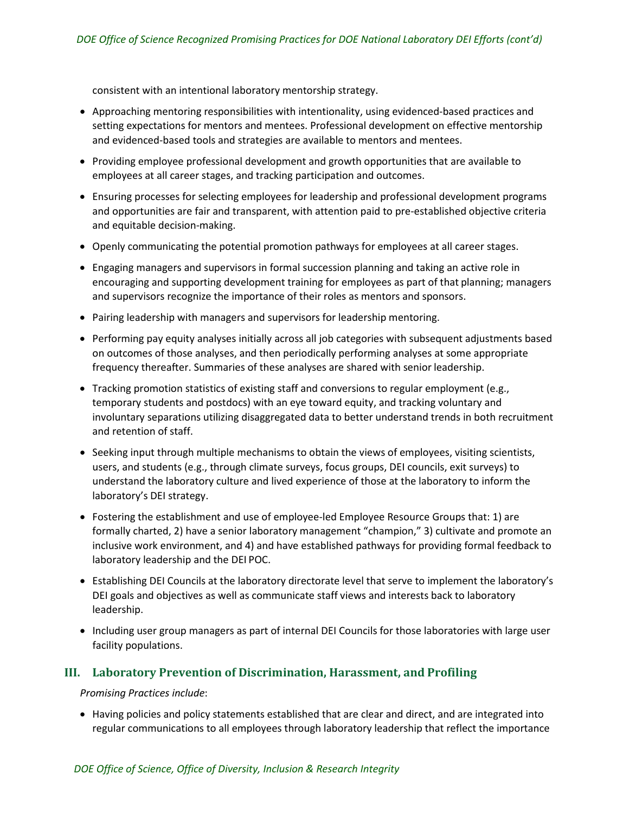consistent with an intentional laboratory mentorship strategy.

- Approaching mentoring responsibilities with intentionality, using evidenced-based practices and setting expectations for mentors and mentees. Professional development on effective mentorship and evidenced-based tools and strategies are available to mentors and mentees.
- Providing employee professional development and growth opportunities that are available to employees at all career stages, and tracking participation and outcomes.
- Ensuring processes for selecting employees for leadership and professional development programs and opportunities are fair and transparent, with attention paid to pre-established objective criteria and equitable decision-making.
- Openly communicating the potential promotion pathways for employees at all career stages.
- Engaging managers and supervisors in formal succession planning and taking an active role in encouraging and supporting development training for employees as part of that planning; managers and supervisors recognize the importance of their roles as mentors and sponsors.
- Pairing leadership with managers and supervisors for leadership mentoring.
- Performing pay equity analyses initially across all job categories with subsequent adjustments based on outcomes of those analyses, and then periodically performing analyses at some appropriate frequency thereafter. Summaries of these analyses are shared with senior leadership.
- Tracking promotion statistics of existing staff and conversions to regular employment (e.g., temporary students and postdocs) with an eye toward equity, and tracking voluntary and involuntary separations utilizing disaggregated data to better understand trends in both recruitment and retention of staff.
- Seeking input through multiple mechanisms to obtain the views of employees, visiting scientists, users, and students (e.g., through climate surveys, focus groups, DEI councils, exit surveys) to understand the laboratory culture and lived experience of those at the laboratory to inform the laboratory's DEI strategy.
- Fostering the establishment and use of employee-led Employee Resource Groups that: 1) are formally charted, 2) have a senior laboratory management "champion," 3) cultivate and promote an inclusive work environment, and 4) and have established pathways for providing formal feedback to laboratory leadership and the DEI POC.
- Establishing DEI Councils at the laboratory directorate level that serve to implement the laboratory's DEI goals and objectives as well as communicate staff views and interests back to laboratory leadership.
- Including user group managers as part of internal DEI Councils for those laboratories with large user facility populations.

## **III. Laboratory Prevention of Discrimination, Harassment, and Profiling**

*Promising Practices include*:

• Having policies and policy statements established that are clear and direct, and are integrated into regular communications to all employees through laboratory leadership that reflect the importance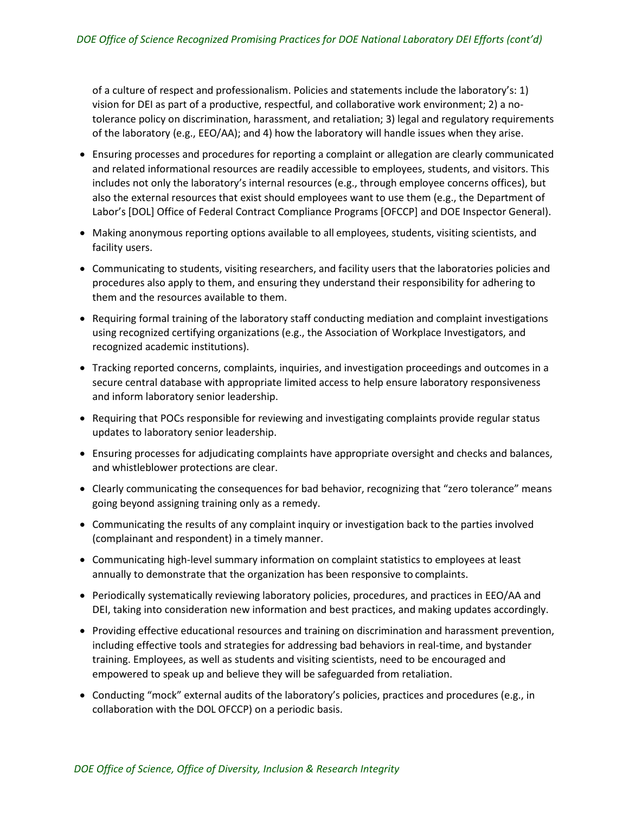of a culture of respect and professionalism. Policies and statements include the laboratory's: 1) vision for DEI as part of a productive, respectful, and collaborative work environment; 2) a notolerance policy on discrimination, harassment, and retaliation; 3) legal and regulatory requirements of the laboratory (e.g., EEO/AA); and 4) how the laboratory will handle issues when they arise.

- Ensuring processes and procedures for reporting a complaint or allegation are clearly communicated and related informational resources are readily accessible to employees, students, and visitors. This includes not only the laboratory's internal resources (e.g., through employee concerns offices), but also the external resources that exist should employees want to use them (e.g., the Department of Labor's [DOL] Office of Federal Contract Compliance Programs [OFCCP] and DOE Inspector General).
- Making anonymous reporting options available to all employees, students, visiting scientists, and facility users.
- Communicating to students, visiting researchers, and facility users that the laboratories policies and procedures also apply to them, and ensuring they understand their responsibility for adhering to them and the resources available to them.
- Requiring formal training of the laboratory staff conducting mediation and complaint investigations using recognized certifying organizations (e.g., the Association of Workplace Investigators, and recognized academic institutions).
- Tracking reported concerns, complaints, inquiries, and investigation proceedings and outcomes in a secure central database with appropriate limited access to help ensure laboratory responsiveness and inform laboratory senior leadership.
- Requiring that POCs responsible for reviewing and investigating complaints provide regular status updates to laboratory senior leadership.
- Ensuring processes for adjudicating complaints have appropriate oversight and checks and balances, and whistleblower protections are clear.
- Clearly communicating the consequences for bad behavior, recognizing that "zero tolerance" means going beyond assigning training only as a remedy.
- Communicating the results of any complaint inquiry or investigation back to the parties involved (complainant and respondent) in a timely manner.
- Communicating high-level summary information on complaint statistics to employees at least annually to demonstrate that the organization has been responsive to complaints.
- Periodically systematically reviewing laboratory policies, procedures, and practices in EEO/AA and DEI, taking into consideration new information and best practices, and making updates accordingly.
- Providing effective educational resources and training on discrimination and harassment prevention, including effective tools and strategies for addressing bad behaviors in real-time, and bystander training. Employees, as well as students and visiting scientists, need to be encouraged and empowered to speak up and believe they will be safeguarded from retaliation.
- Conducting "mock" external audits of the laboratory's policies, practices and procedures (e.g., in collaboration with the DOL OFCCP) on a periodic basis.